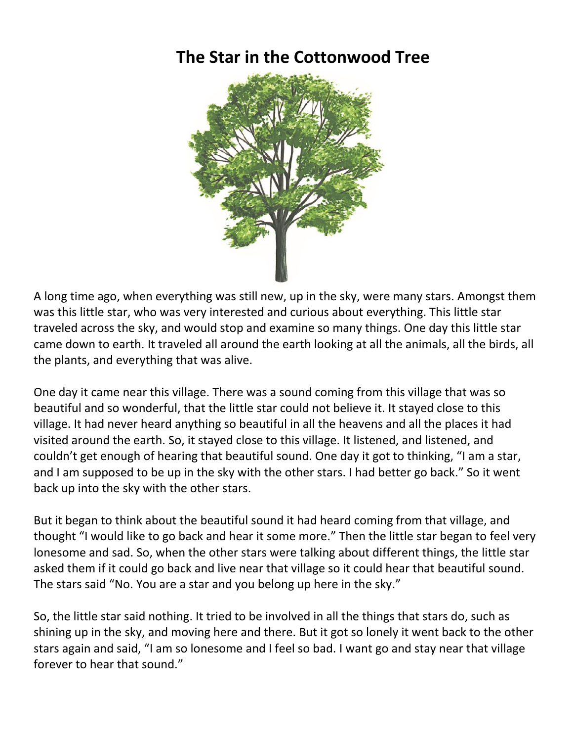## **The Star in the Cottonwood Tree**



A long time ago, when everything was still new, up in the sky, were many stars. Amongst them was this little star, who was very interested and curious about everything. This little star traveled across the sky, and would stop and examine so many things. One day this little star came down to earth. It traveled all around the earth looking at all the animals, all the birds, all the plants, and everything that was alive.

One day it came near this village. There was a sound coming from this village that was so beautiful and so wonderful, that the little star could not believe it. It stayed close to this village. It had never heard anything so beautiful in all the heavens and all the places it had visited around the earth. So, it stayed close to this village. It listened, and listened, and couldn't get enough of hearing that beautiful sound. One day it got to thinking, "I am a star, and I am supposed to be up in the sky with the other stars. I had better go back." So it went back up into the sky with the other stars.

But it began to think about the beautiful sound it had heard coming from that village, and thought "I would like to go back and hear it some more." Then the little star began to feel very lonesome and sad. So, when the other stars were talking about different things, the little star asked them if it could go back and live near that village so it could hear that beautiful sound. The stars said "No. You are a star and you belong up here in the sky."

So, the little star said nothing. It tried to be involved in all the things that stars do, such as shining up in the sky, and moving here and there. But it got so lonely it went back to the other stars again and said, "I am so lonesome and I feel so bad. I want go and stay near that village forever to hear that sound."